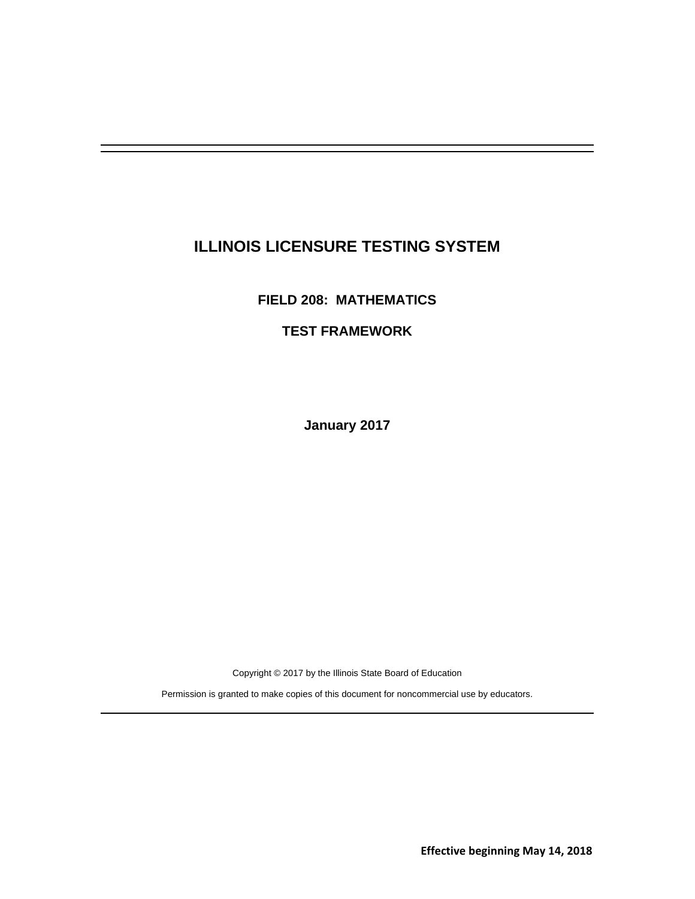# **ILLINOIS LICENSURE TESTING SYSTEM**

**FIELD 208: MATHEMATICS** 

## **TEST FRAMEWORK**

**January 2017** 

Copyright © 2017 by the Illinois State Board of Education

Permission is granted to make copies of this document for noncommercial use by educators.

**Effective beginning May 14, 2018**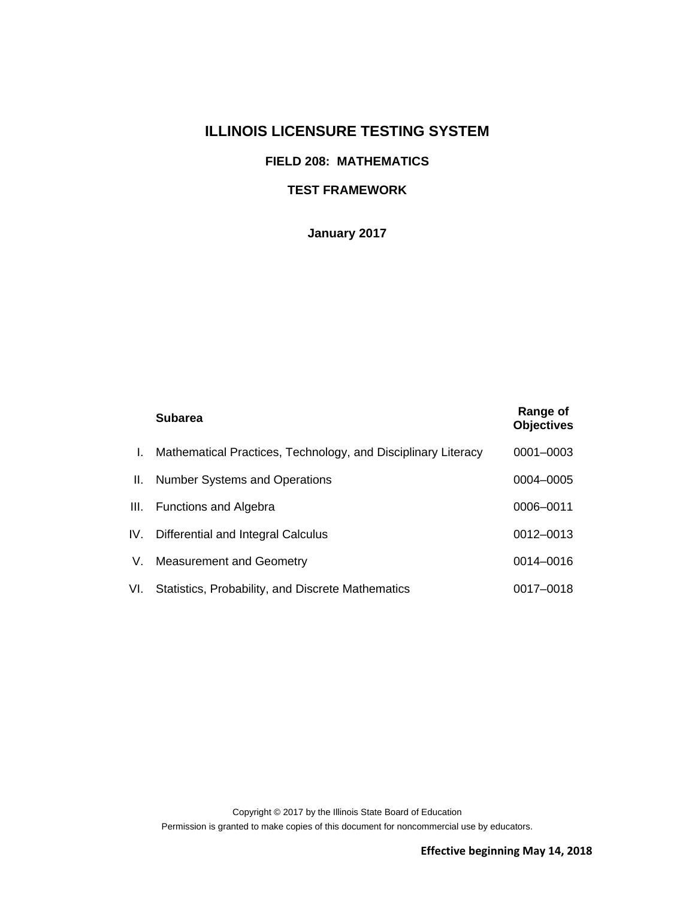## **ILLINOIS LICENSURE TESTING SYSTEM**

## **FIELD 208: MATHEMATICS**

## **TEST FRAMEWORK**

**January 2017** 

|     | <b>Subarea</b>                                                | Range of<br><b>Objectives</b> |
|-----|---------------------------------------------------------------|-------------------------------|
| Ι.  | Mathematical Practices, Technology, and Disciplinary Literacy | 0001-0003                     |
| Ш.  | <b>Number Systems and Operations</b>                          | 0004-0005                     |
| Ш.  | <b>Functions and Algebra</b>                                  | 0006-0011                     |
|     | IV. Differential and Integral Calculus                        | 0012-0013                     |
| V.  | <b>Measurement and Geometry</b>                               | 0014-0016                     |
| VI. | Statistics, Probability, and Discrete Mathematics             | 0017-0018                     |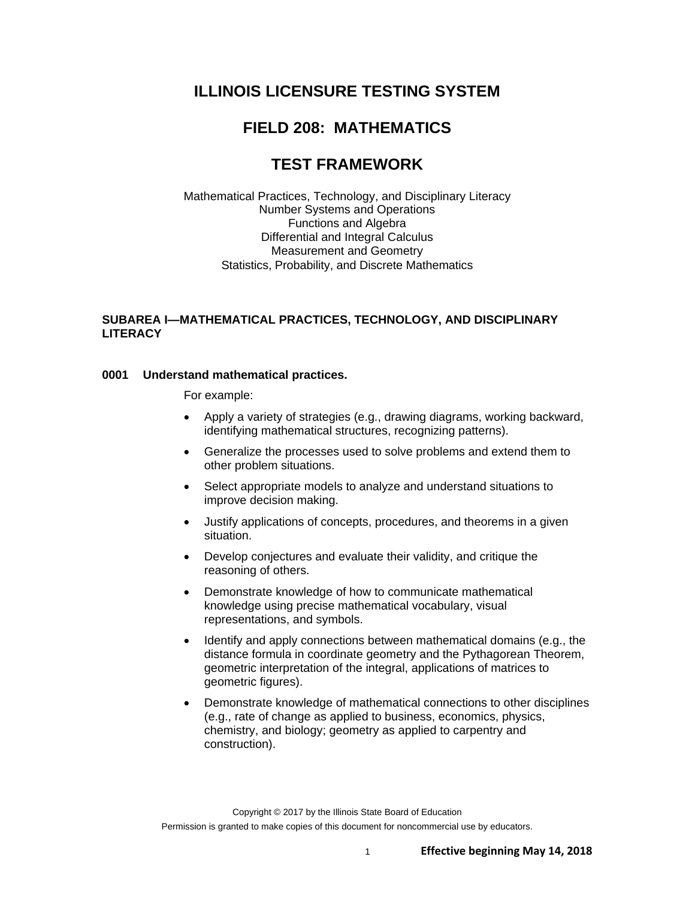## **ILLINOIS LICENSURE TESTING SYSTEM**

## **FIELD 208: MATHEMATICS**

## **TEST FRAMEWORK**

Mathematical Practices, Technology, and Disciplinary Literacy Number Systems and Operations Functions and Algebra Differential and Integral Calculus Measurement and Geometry Statistics, Probability, and Discrete Mathematics

## **SUBAREA I—MATHEMATICAL PRACTICES, TECHNOLOGY, AND DISCIPLINARY LITERACY**

#### **0001 Understand mathematical practices.**

- Apply a variety of strategies (e.g., drawing diagrams, working backward, identifying mathematical structures, recognizing patterns).
- Generalize the processes used to solve problems and extend them to other problem situations.
- Select appropriate models to analyze and understand situations to improve decision making.
- Justify applications of concepts, procedures, and theorems in a given situation.
- Develop conjectures and evaluate their validity, and critique the reasoning of others.
- Demonstrate knowledge of how to communicate mathematical knowledge using precise mathematical vocabulary, visual representations, and symbols.
- Identify and apply connections between mathematical domains (e.g., the distance formula in coordinate geometry and the Pythagorean Theorem, geometric interpretation of the integral, applications of matrices to geometric figures).
- Demonstrate knowledge of mathematical connections to other disciplines (e.g., rate of change as applied to business, economics, physics, chemistry, and biology; geometry as applied to carpentry and construction).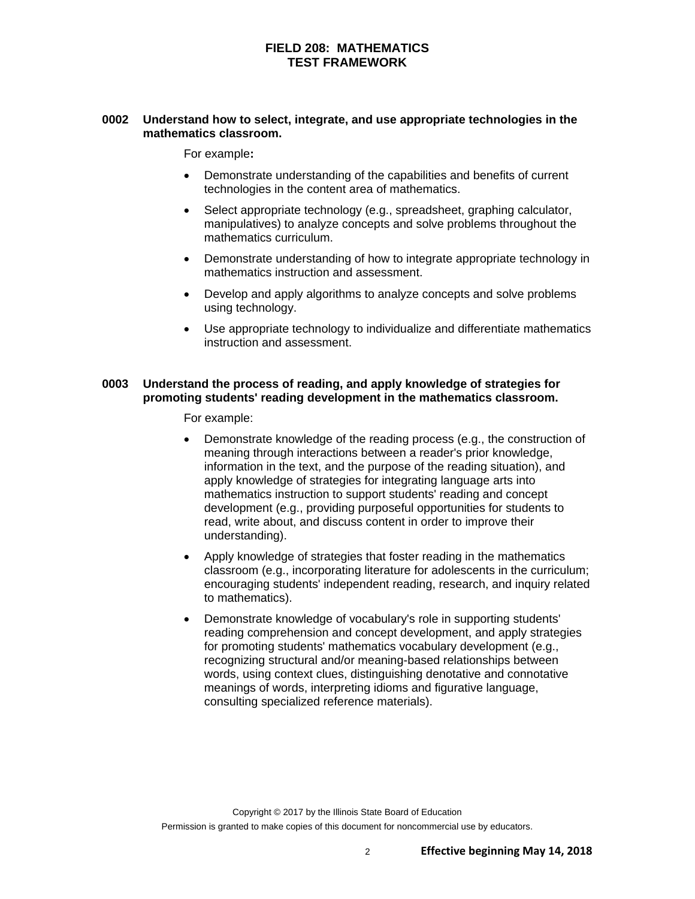## **0002 Understand how to select, integrate, and use appropriate technologies in the mathematics classroom.**

For example**:** 

- Demonstrate understanding of the capabilities and benefits of current technologies in the content area of mathematics.
- Select appropriate technology (e.g., spreadsheet, graphing calculator, manipulatives) to analyze concepts and solve problems throughout the mathematics curriculum.
- Demonstrate understanding of how to integrate appropriate technology in mathematics instruction and assessment.
- Develop and apply algorithms to analyze concepts and solve problems using technology.
- Use appropriate technology to individualize and differentiate mathematics instruction and assessment.

#### **0003 Understand the process of reading, and apply knowledge of strategies for promoting students' reading development in the mathematics classroom.**

- Demonstrate knowledge of the reading process (e.g., the construction of meaning through interactions between a reader's prior knowledge, information in the text, and the purpose of the reading situation), and apply knowledge of strategies for integrating language arts into mathematics instruction to support students' reading and concept development (e.g., providing purposeful opportunities for students to read, write about, and discuss content in order to improve their understanding).
- Apply knowledge of strategies that foster reading in the mathematics classroom (e.g., incorporating literature for adolescents in the curriculum; encouraging students' independent reading, research, and inquiry related to mathematics).
- Demonstrate knowledge of vocabulary's role in supporting students' reading comprehension and concept development, and apply strategies for promoting students' mathematics vocabulary development (e.g., recognizing structural and/or meaning-based relationships between words, using context clues, distinguishing denotative and connotative meanings of words, interpreting idioms and figurative language, consulting specialized reference materials).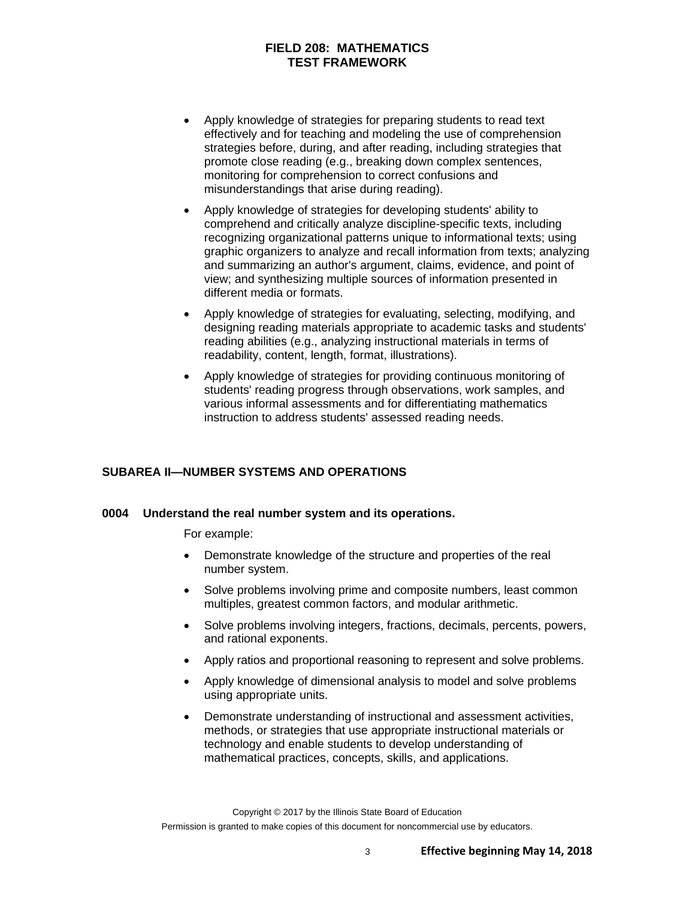- Apply knowledge of strategies for preparing students to read text effectively and for teaching and modeling the use of comprehension strategies before, during, and after reading, including strategies that promote close reading (e.g., breaking down complex sentences, monitoring for comprehension to correct confusions and misunderstandings that arise during reading).
- Apply knowledge of strategies for developing students' ability to comprehend and critically analyze discipline-specific texts, including recognizing organizational patterns unique to informational texts; using graphic organizers to analyze and recall information from texts; analyzing and summarizing an author's argument, claims, evidence, and point of view; and synthesizing multiple sources of information presented in different media or formats.
- Apply knowledge of strategies for evaluating, selecting, modifying, and designing reading materials appropriate to academic tasks and students' reading abilities (e.g., analyzing instructional materials in terms of readability, content, length, format, illustrations).
- Apply knowledge of strategies for providing continuous monitoring of students' reading progress through observations, work samples, and various informal assessments and for differentiating mathematics instruction to address students' assessed reading needs.

#### **SUBAREA II—NUMBER SYSTEMS AND OPERATIONS**

#### **0004 Understand the real number system and its operations.**

- Demonstrate knowledge of the structure and properties of the real number system.
- Solve problems involving prime and composite numbers, least common multiples, greatest common factors, and modular arithmetic.
- Solve problems involving integers, fractions, decimals, percents, powers, and rational exponents.
- Apply ratios and proportional reasoning to represent and solve problems.
- Apply knowledge of dimensional analysis to model and solve problems using appropriate units.
- Demonstrate understanding of instructional and assessment activities, methods, or strategies that use appropriate instructional materials or technology and enable students to develop understanding of mathematical practices, concepts, skills, and applications.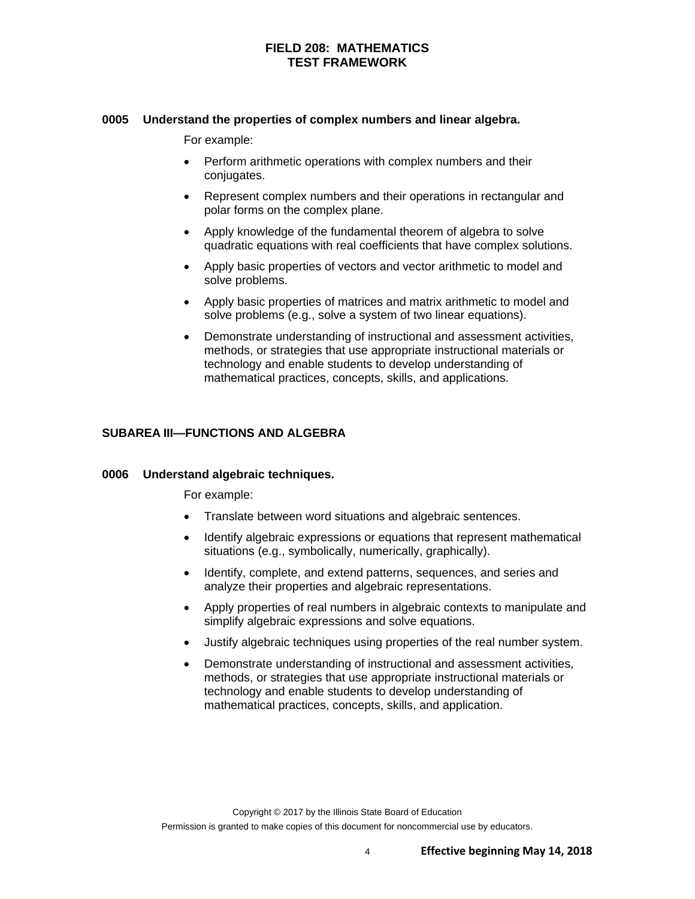#### **0005 Understand the properties of complex numbers and linear algebra.**

For example:

- Perform arithmetic operations with complex numbers and their conjugates.
- Represent complex numbers and their operations in rectangular and polar forms on the complex plane.
- Apply knowledge of the fundamental theorem of algebra to solve quadratic equations with real coefficients that have complex solutions.
- Apply basic properties of vectors and vector arithmetic to model and solve problems.
- Apply basic properties of matrices and matrix arithmetic to model and solve problems (e.g., solve a system of two linear equations).
- Demonstrate understanding of instructional and assessment activities, methods, or strategies that use appropriate instructional materials or technology and enable students to develop understanding of mathematical practices, concepts, skills, and applications.

## **SUBAREA III—FUNCTIONS AND ALGEBRA**

#### **0006 Understand algebraic techniques.**

- Translate between word situations and algebraic sentences.
- Identify algebraic expressions or equations that represent mathematical situations (e.g., symbolically, numerically, graphically).
- Identify, complete, and extend patterns, sequences, and series and analyze their properties and algebraic representations.
- Apply properties of real numbers in algebraic contexts to manipulate and simplify algebraic expressions and solve equations.
- Justify algebraic techniques using properties of the real number system.
- Demonstrate understanding of instructional and assessment activities, methods, or strategies that use appropriate instructional materials or technology and enable students to develop understanding of mathematical practices, concepts, skills, and application.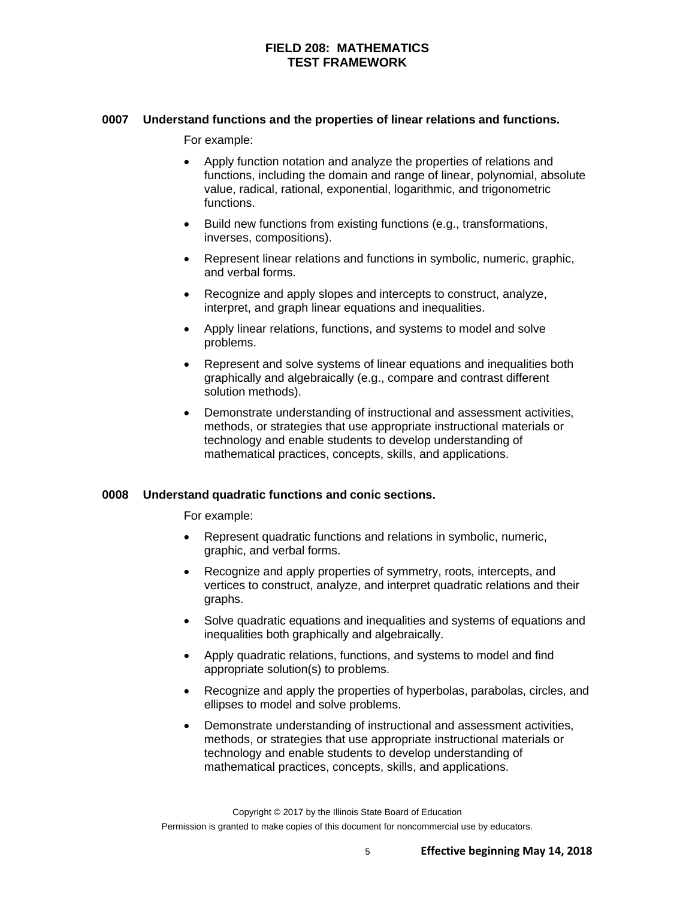#### **0007 Understand functions and the properties of linear relations and functions.**

For example:

- Apply function notation and analyze the properties of relations and functions, including the domain and range of linear, polynomial, absolute value, radical, rational, exponential, logarithmic, and trigonometric functions.
- Build new functions from existing functions (e.g., transformations, inverses, compositions).
- Represent linear relations and functions in symbolic, numeric, graphic, and verbal forms.
- Recognize and apply slopes and intercepts to construct, analyze, interpret, and graph linear equations and inequalities.
- Apply linear relations, functions, and systems to model and solve problems.
- Represent and solve systems of linear equations and inequalities both graphically and algebraically (e.g., compare and contrast different solution methods).
- Demonstrate understanding of instructional and assessment activities, methods, or strategies that use appropriate instructional materials or technology and enable students to develop understanding of mathematical practices, concepts, skills, and applications.

#### **0008 Understand quadratic functions and conic sections.**

For example:

- Represent quadratic functions and relations in symbolic, numeric, graphic, and verbal forms.
- Recognize and apply properties of symmetry, roots, intercepts, and vertices to construct, analyze, and interpret quadratic relations and their graphs.
- Solve quadratic equations and inequalities and systems of equations and inequalities both graphically and algebraically.
- Apply quadratic relations, functions, and systems to model and find appropriate solution(s) to problems.
- Recognize and apply the properties of hyperbolas, parabolas, circles, and ellipses to model and solve problems.
- Demonstrate understanding of instructional and assessment activities, methods, or strategies that use appropriate instructional materials or technology and enable students to develop understanding of mathematical practices, concepts, skills, and applications.

Copyright © 2017 by the Illinois State Board of Education Permission is granted to make copies of this document for noncommercial use by educators.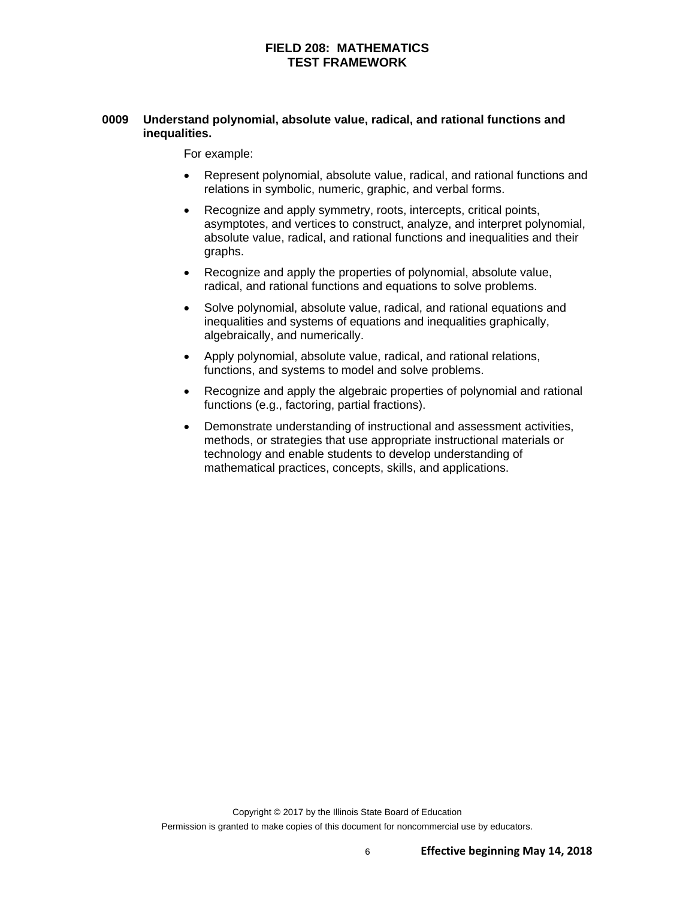## **0009 Understand polynomial, absolute value, radical, and rational functions and inequalities.**

- Represent polynomial, absolute value, radical, and rational functions and relations in symbolic, numeric, graphic, and verbal forms.
- Recognize and apply symmetry, roots, intercepts, critical points, asymptotes, and vertices to construct, analyze, and interpret polynomial, absolute value, radical, and rational functions and inequalities and their graphs.
- Recognize and apply the properties of polynomial, absolute value, radical, and rational functions and equations to solve problems.
- Solve polynomial, absolute value, radical, and rational equations and inequalities and systems of equations and inequalities graphically, algebraically, and numerically.
- Apply polynomial, absolute value, radical, and rational relations, functions, and systems to model and solve problems.
- Recognize and apply the algebraic properties of polynomial and rational functions (e.g., factoring, partial fractions).
- Demonstrate understanding of instructional and assessment activities, methods, or strategies that use appropriate instructional materials or technology and enable students to develop understanding of mathematical practices, concepts, skills, and applications.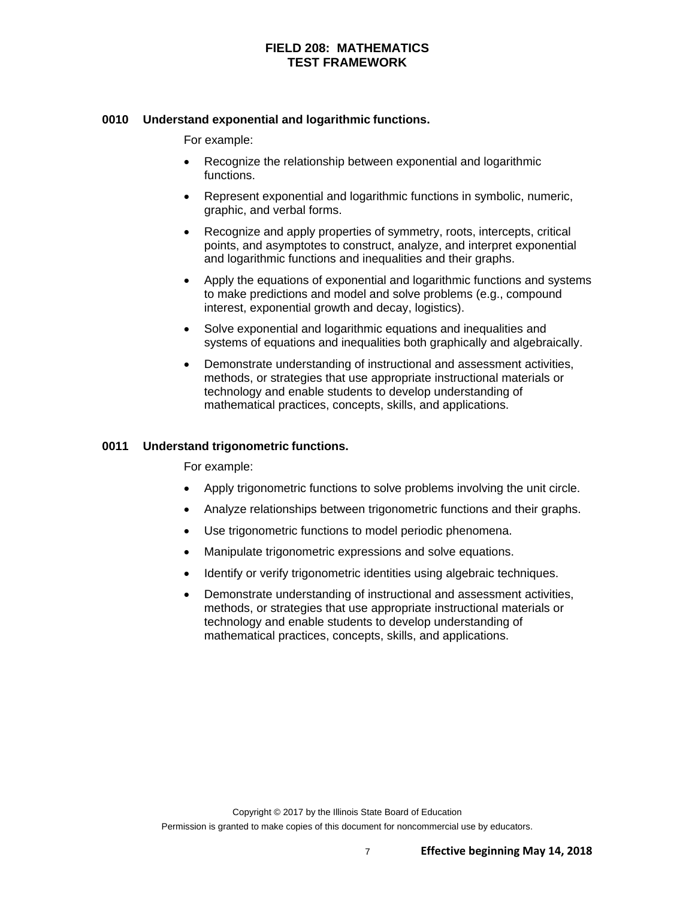#### **0010 Understand exponential and logarithmic functions.**

For example:

- Recognize the relationship between exponential and logarithmic functions.
- Represent exponential and logarithmic functions in symbolic, numeric, graphic, and verbal forms.
- Recognize and apply properties of symmetry, roots, intercepts, critical points, and asymptotes to construct, analyze, and interpret exponential and logarithmic functions and inequalities and their graphs.
- Apply the equations of exponential and logarithmic functions and systems to make predictions and model and solve problems (e.g., compound interest, exponential growth and decay, logistics).
- Solve exponential and logarithmic equations and inequalities and systems of equations and inequalities both graphically and algebraically.
- Demonstrate understanding of instructional and assessment activities, methods, or strategies that use appropriate instructional materials or technology and enable students to develop understanding of mathematical practices, concepts, skills, and applications.

#### **0011 Understand trigonometric functions.**

- Apply trigonometric functions to solve problems involving the unit circle.
- Analyze relationships between trigonometric functions and their graphs.
- Use trigonometric functions to model periodic phenomena.
- Manipulate trigonometric expressions and solve equations.
- Identify or verify trigonometric identities using algebraic techniques.
- Demonstrate understanding of instructional and assessment activities, methods, or strategies that use appropriate instructional materials or technology and enable students to develop understanding of mathematical practices, concepts, skills, and applications.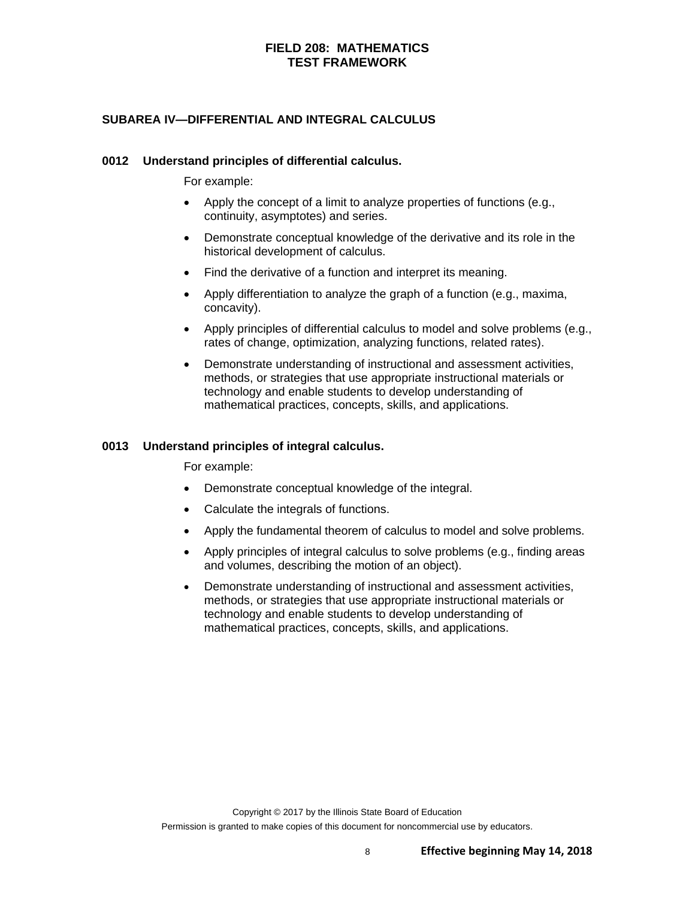## **SUBAREA IV—DIFFERENTIAL AND INTEGRAL CALCULUS**

#### **0012 Understand principles of differential calculus.**

For example:

- Apply the concept of a limit to analyze properties of functions (e.g., continuity, asymptotes) and series.
- Demonstrate conceptual knowledge of the derivative and its role in the historical development of calculus.
- Find the derivative of a function and interpret its meaning.
- Apply differentiation to analyze the graph of a function (e.g., maxima, concavity).
- Apply principles of differential calculus to model and solve problems (e.g., rates of change, optimization, analyzing functions, related rates).
- Demonstrate understanding of instructional and assessment activities, methods, or strategies that use appropriate instructional materials or technology and enable students to develop understanding of mathematical practices, concepts, skills, and applications.

#### **0013 Understand principles of integral calculus.**

- Demonstrate conceptual knowledge of the integral.
- Calculate the integrals of functions.
- Apply the fundamental theorem of calculus to model and solve problems.
- Apply principles of integral calculus to solve problems (e.g., finding areas and volumes, describing the motion of an object).
- Demonstrate understanding of instructional and assessment activities, methods, or strategies that use appropriate instructional materials or technology and enable students to develop understanding of mathematical practices, concepts, skills, and applications.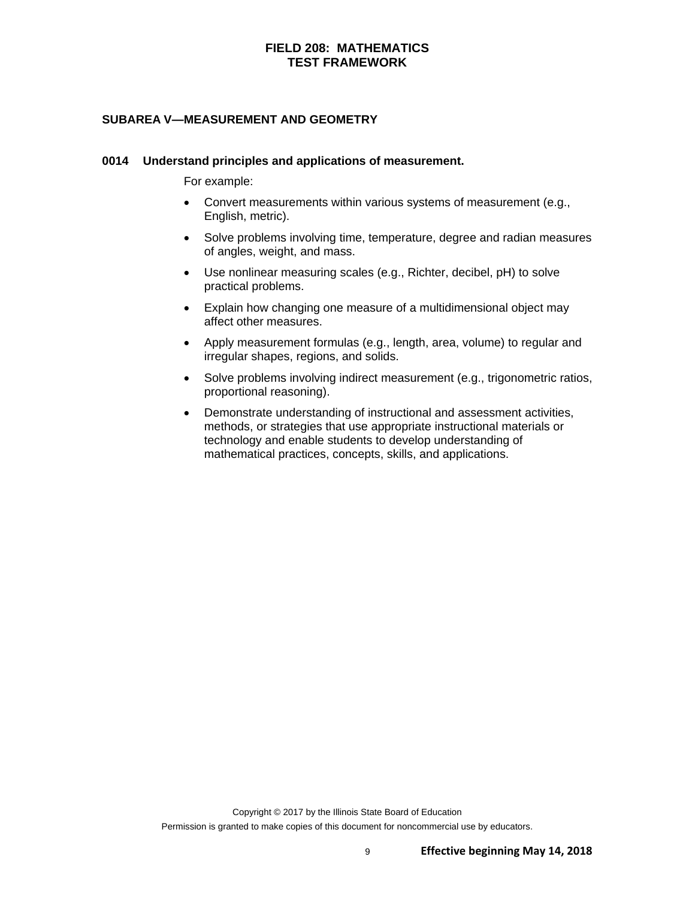#### **SUBAREA V—MEASUREMENT AND GEOMETRY**

#### **0014 Understand principles and applications of measurement.**

- Convert measurements within various systems of measurement (e.g., English, metric).
- Solve problems involving time, temperature, degree and radian measures of angles, weight, and mass.
- Use nonlinear measuring scales (e.g., Richter, decibel, pH) to solve practical problems.
- Explain how changing one measure of a multidimensional object may affect other measures.
- Apply measurement formulas (e.g., length, area, volume) to regular and irregular shapes, regions, and solids.
- Solve problems involving indirect measurement (e.g., trigonometric ratios, proportional reasoning).
- Demonstrate understanding of instructional and assessment activities, methods, or strategies that use appropriate instructional materials or technology and enable students to develop understanding of mathematical practices, concepts, skills, and applications.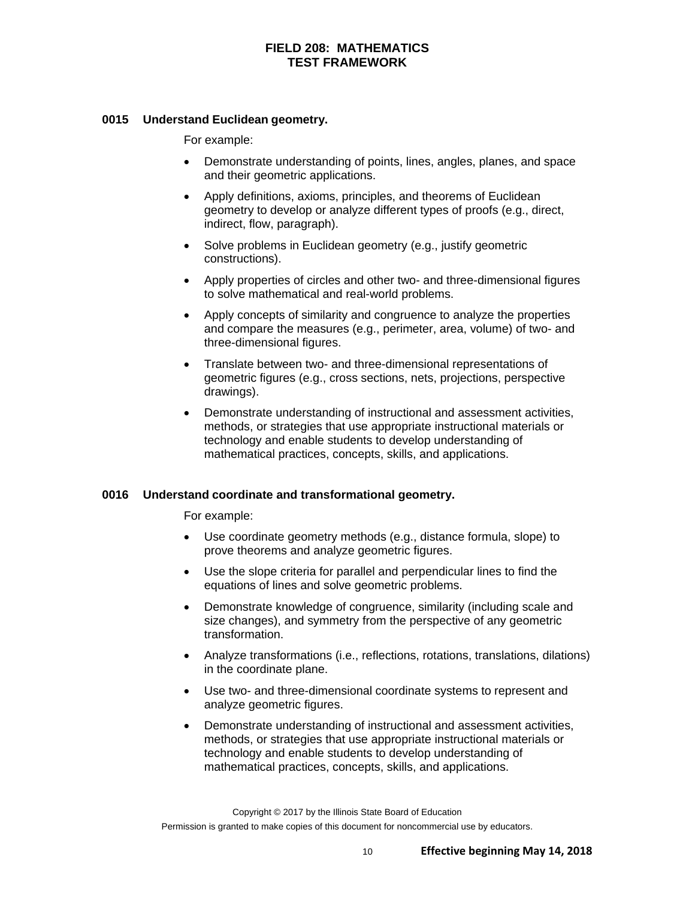#### **0015 Understand Euclidean geometry.**

For example:

- Demonstrate understanding of points, lines, angles, planes, and space and their geometric applications.
- Apply definitions, axioms, principles, and theorems of Euclidean geometry to develop or analyze different types of proofs (e.g., direct, indirect, flow, paragraph).
- Solve problems in Euclidean geometry (e.g., justify geometric constructions).
- Apply properties of circles and other two- and three-dimensional figures to solve mathematical and real-world problems.
- Apply concepts of similarity and congruence to analyze the properties and compare the measures (e.g., perimeter, area, volume) of two- and three-dimensional figures.
- Translate between two- and three-dimensional representations of geometric figures (e.g., cross sections, nets, projections, perspective drawings).
- Demonstrate understanding of instructional and assessment activities, methods, or strategies that use appropriate instructional materials or technology and enable students to develop understanding of mathematical practices, concepts, skills, and applications.

#### **0016 Understand coordinate and transformational geometry.**

- Use coordinate geometry methods (e.g., distance formula, slope) to prove theorems and analyze geometric figures.
- Use the slope criteria for parallel and perpendicular lines to find the equations of lines and solve geometric problems.
- Demonstrate knowledge of congruence, similarity (including scale and size changes), and symmetry from the perspective of any geometric transformation.
- Analyze transformations (i.e., reflections, rotations, translations, dilations) in the coordinate plane.
- Use two- and three-dimensional coordinate systems to represent and analyze geometric figures.
- Demonstrate understanding of instructional and assessment activities, methods, or strategies that use appropriate instructional materials or technology and enable students to develop understanding of mathematical practices, concepts, skills, and applications.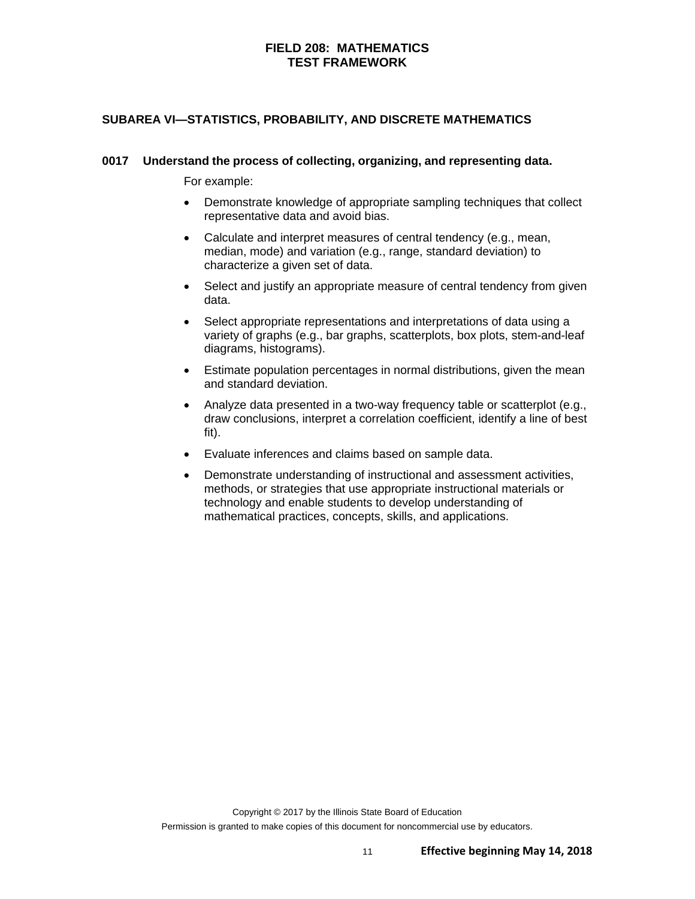## **SUBAREA VI—STATISTICS, PROBABILITY, AND DISCRETE MATHEMATICS**

#### **0017 Understand the process of collecting, organizing, and representing data.**

- Demonstrate knowledge of appropriate sampling techniques that collect representative data and avoid bias.
- Calculate and interpret measures of central tendency (e.g., mean, median, mode) and variation (e.g., range, standard deviation) to characterize a given set of data.
- Select and justify an appropriate measure of central tendency from given data.
- Select appropriate representations and interpretations of data using a variety of graphs (e.g., bar graphs, scatterplots, box plots, stem-and-leaf diagrams, histograms).
- Estimate population percentages in normal distributions, given the mean and standard deviation.
- Analyze data presented in a two-way frequency table or scatterplot (e.g., draw conclusions, interpret a correlation coefficient, identify a line of best fit).
- Evaluate inferences and claims based on sample data.
- Demonstrate understanding of instructional and assessment activities, methods, or strategies that use appropriate instructional materials or technology and enable students to develop understanding of mathematical practices, concepts, skills, and applications.